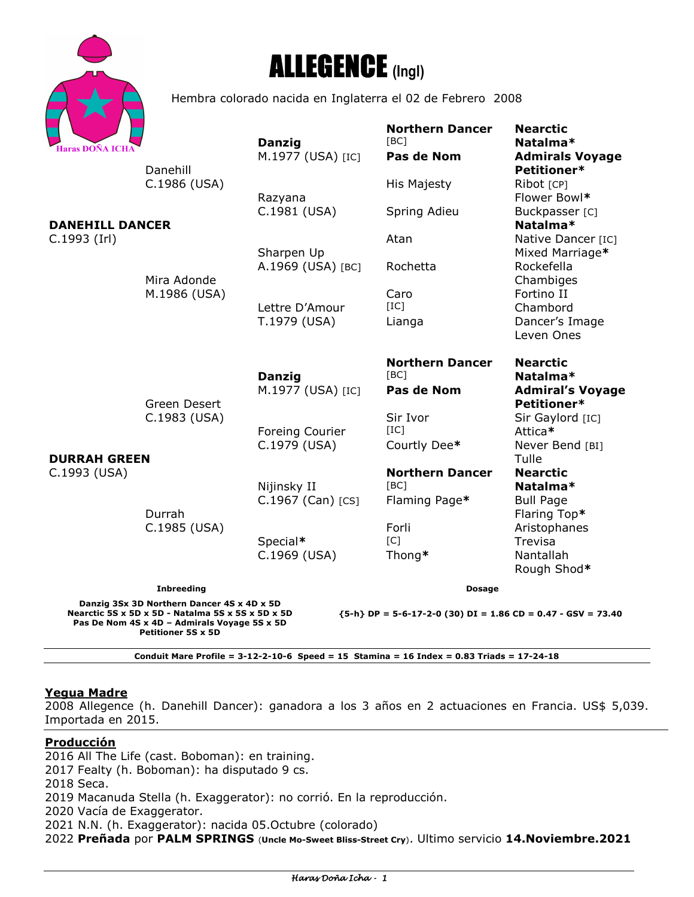



Hembra colorado nacida en Inglaterra el 02 de Febrero 2008

| <b>Haras DOÑA ICHA</b>                                                                                                                                                                                                                                                        |                              | <b>Danzig</b><br>M.1977 (USA) [IC] | <b>Northern Dancer</b><br>[BC]<br>Pas de Nom | <b>Nearctic</b><br>Natalma*<br><b>Admirals Voyage</b> |
|-------------------------------------------------------------------------------------------------------------------------------------------------------------------------------------------------------------------------------------------------------------------------------|------------------------------|------------------------------------|----------------------------------------------|-------------------------------------------------------|
|                                                                                                                                                                                                                                                                               | Danehill<br>C.1986 (USA)     |                                    | His Majesty                                  | Petitioner*<br>Ribot [CP]                             |
|                                                                                                                                                                                                                                                                               | Mira Adonde<br>M.1986 (USA)  | Razyana<br>C.1981 (USA)            | Spring Adieu                                 | Flower Bowl*<br>Buckpasser [C]                        |
| <b>DANEHILL DANCER</b><br>$C.1993$ (Irl)                                                                                                                                                                                                                                      |                              |                                    | Atan                                         | Natalma*<br>Native Dancer [IC]                        |
|                                                                                                                                                                                                                                                                               |                              | Sharpen Up<br>A.1969 (USA) [BC]    | Rochetta                                     | Mixed Marriage*<br>Rockefella                         |
|                                                                                                                                                                                                                                                                               |                              | Lettre D'Amour                     | Caro<br>[IC]                                 | Chambiges<br>Fortino II<br>Chambord                   |
| <b>DURRAH GREEN</b><br>C.1993 (USA)                                                                                                                                                                                                                                           |                              | T.1979 (USA)                       | Lianga                                       | Dancer's Image<br>Leven Ones                          |
|                                                                                                                                                                                                                                                                               |                              | <b>Danzig</b>                      | <b>Northern Dancer</b><br>[BC]               | <b>Nearctic</b><br>Natalma*                           |
|                                                                                                                                                                                                                                                                               | Green Desert<br>C.1983 (USA) | M.1977 (USA) [IC]                  | Pas de Nom                                   | <b>Admiral's Voyage</b><br>Petitioner*                |
|                                                                                                                                                                                                                                                                               |                              | Foreing Courier                    | Sir Ivor<br>[IC]                             | Sir Gaylord [IC]<br>Attica*                           |
|                                                                                                                                                                                                                                                                               | Durrah<br>C.1985 (USA)       | C.1979 (USA)                       | Courtly Dee*                                 | Never Bend [BI]<br>Tulle                              |
|                                                                                                                                                                                                                                                                               |                              | Nijinsky II                        | <b>Northern Dancer</b><br>[BC]               | <b>Nearctic</b><br>Natalma*                           |
|                                                                                                                                                                                                                                                                               |                              | C.1967 (Can) [CS]                  | Flaming Page*<br>Forli                       | <b>Bull Page</b><br>Flaring Top*                      |
|                                                                                                                                                                                                                                                                               |                              | Special*<br>C.1969 (USA)           | [C]<br>Thong*                                | Aristophanes<br>Trevisa<br>Nantallah                  |
|                                                                                                                                                                                                                                                                               |                              |                                    |                                              | Rough Shod*                                           |
| <b>Inbreeding</b><br><b>Dosage</b><br>Danzig 3Sx 3D Northern Dancer 4S x 4D x 5D<br>Nearctic 5S x 5D x 5D - Natalma 5S x 5S x 5D x 5D<br>${5-h}$ DP = 5-6-17-2-0 (30) DI = 1.86 CD = 0.47 - GSV = 73.40<br>Pas De Nom 4S x 4D - Admirals Voyage 5S x 5D<br>Petitioner 5S x 5D |                              |                                    |                                              |                                                       |

**Conduit Mare Profile = 3-12-2-10-6 Speed = 15 Stamina = 16 Index = 0.83 Triads = 17-24-18** 

# **Yegua Madre**

2008 Allegence (h. Danehill Dancer): ganadora a los 3 años en 2 actuaciones en Francia. US\$ 5,039. Importada en 2015.

#### **Producción**

2016 All The Life (cast. Boboman): en training.

2017 Fealty (h. Boboman): ha disputado 9 cs.

2018 Seca.

2019 Macanuda Stella (h. Exaggerator): no corrió. En la reproducción.

2020 Vacía de Exaggerator.

2021 N.N. (h. Exaggerator): nacida 05.Octubre (colorado)

2022 **Preñada** por **PALM SPRINGS** (**Uncle Mo-Sweet Bliss-Street Cry**). Ultimo servicio **14.Noviembre.2021**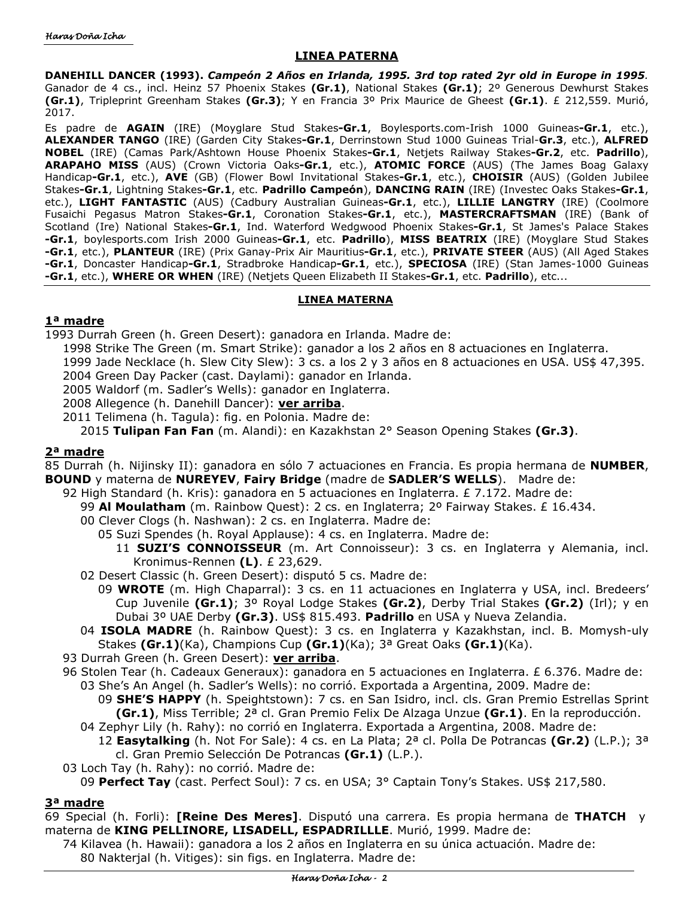# **LINEA PATERNA**

**DANEHILL DANCER (1993).** *Campeón 2 Años en Irlanda, 1995. 3rd top rated 2yr old in Europe in 1995.*  Ganador de 4 cs., incl. Heinz 57 Phoenix Stakes **(Gr.1)**, National Stakes **(Gr.1)**; 2º Generous Dewhurst Stakes **(Gr.1)**, Tripleprint Greenham Stakes **(Gr.3)**; Y en Francia 3º Prix Maurice de Gheest **(Gr.1)**. £ 212,559. Murió, 2017.

Es padre de **AGAIN** (IRE) (Moyglare Stud Stakes**-Gr.1**, Boylesports.com-Irish 1000 Guineas**-Gr.1**, etc.), **ALEXANDER TANGO** (IRE) (Garden City Stakes**-Gr.1**, Derrinstown Stud 1000 Guineas Trial-**Gr.3**, etc.), **ALFRED NOBEL** (IRE) (Camas Park/Ashtown House Phoenix Stakes**-Gr.1**, Netjets Railway Stakes**-Gr.2**, etc. **Padrillo**), **ARAPAHO MISS** (AUS) (Crown Victoria Oaks**-Gr.1**, etc.), **ATOMIC FORCE** (AUS) (The James Boag Galaxy Handicap**-Gr.1**, etc.), **AVE** (GB) (Flower Bowl Invitational Stakes**-Gr.1**, etc.), **CHOISIR** (AUS) (Golden Jubilee Stakes**-Gr.1**, Lightning Stakes**-Gr.1**, etc. **Padrillo Campeón**), **DANCING RAIN** (IRE) (Investec Oaks Stakes**-Gr.1**, etc.), **LIGHT FANTASTIC** (AUS) (Cadbury Australian Guineas**-Gr.1**, etc.), **LILLIE LANGTRY** (IRE) (Coolmore Fusaichi Pegasus Matron Stakes**-Gr.1**, Coronation Stakes**-Gr.1**, etc.), **MASTERCRAFTSMAN** (IRE) (Bank of Scotland (Ire) National Stakes**-Gr.1**, Ind. Waterford Wedgwood Phoenix Stakes**-Gr.1**, St James's Palace Stakes **-Gr.1**, boylesports.com Irish 2000 Guineas**-Gr.1**, etc. **Padrillo**), **MISS BEATRIX** (IRE) (Moyglare Stud Stakes **-Gr.1**, etc.), **PLANTEUR** (IRE) (Prix Ganay-Prix Air Mauritius**-Gr.1**, etc.), **PRIVATE STEER** (AUS) (All Aged Stakes **-Gr.1**, Doncaster Handicap**-Gr.1**, Stradbroke Handicap**-Gr.1**, etc.), **SPECIOSA** (IRE) (Stan James-1000 Guineas **-Gr.1**, etc.), **WHERE OR WHEN** (IRE) (Netjets Queen Elizabeth II Stakes**-Gr.1**, etc. **Padrillo**), etc...

#### **LINEA MATERNA**

# **1ª madre**

- 1993 Durrah Green (h. Green Desert): ganadora en Irlanda. Madre de:
	- 1998 Strike The Green (m. Smart Strike): ganador a los 2 años en 8 actuaciones en Inglaterra.
	- 1999 Jade Necklace (h. Slew City Slew): 3 cs. a los 2 y 3 años en 8 actuaciones en USA. US\$ 47,395.
	- 2004 Green Day Packer (cast. Daylami): ganador en Irlanda.
	- 2005 Waldorf (m. Sadler's Wells): ganador en Inglaterra.
	- 2008 Allegence (h. Danehill Dancer): **ver arriba**.
	- 2011 Telimena (h. Tagula): fig. en Polonia. Madre de:

2015 **Tulipan Fan Fan** (m. Alandi): en Kazakhstan 2° Season Opening Stakes **(Gr.3)**.

# **2ª madre**

85 Durrah (h. Nijinsky II): ganadora en sólo 7 actuaciones en Francia. Es propia hermana de **NUMBER**, **BOUND** y materna de **NUREYEV**, **Fairy Bridge** (madre de **SADLER'S WELLS**). Madre de:

- 92 High Standard (h. Kris): ganadora en 5 actuaciones en Inglaterra. £ 7.172. Madre de:
	- 99 **Al Moulatham** (m. Rainbow Quest): 2 cs. en Inglaterra; 2º Fairway Stakes. £ 16.434.
	- 00 Clever Clogs (h. Nashwan): 2 cs. en Inglaterra. Madre de:
		- 05 Suzi Spendes (h. Royal Applause): 4 cs. en Inglaterra. Madre de:
			- 11 **SUZI'S CONNOISSEUR** (m. Art Connoisseur): 3 cs. en Inglaterra y Alemania, incl. Kronimus-Rennen **(L)**. £ 23,629.
	- 02 Desert Classic (h. Green Desert): disputó 5 cs. Madre de:
		- 09 **WROTE** (m. High Chaparral): 3 cs. en 11 actuaciones en Inglaterra y USA, incl. Bredeers' Cup Juvenile **(Gr.1)**; 3º Royal Lodge Stakes **(Gr.2)**, Derby Trial Stakes **(Gr.2)** (Irl); y en Dubai 3º UAE Derby **(Gr.3)**. US\$ 815.493. **Padrillo** en USA y Nueva Zelandia.
	- 04 **ISOLA MADRE** (h. Rainbow Quest): 3 cs. en Inglaterra y Kazakhstan, incl. B. Momysh-uly Stakes **(Gr.1)**(Ka), Champions Cup **(Gr.1)**(Ka); 3ª Great Oaks **(Gr.1)**(Ka).
- 93 Durrah Green (h. Green Desert): **ver arriba**.
- 96 Stolen Tear (h. Cadeaux Generaux): ganadora en 5 actuaciones en Inglaterra. £ 6.376. Madre de: 03 She's An Angel (h. Sadler's Wells): no corrió. Exportada a Argentina, 2009. Madre de:
	- 09 **SHE'S HAPPY** (h. Speightstown): 7 cs. en San Isidro, incl. cls. Gran Premio Estrellas Sprint **(Gr.1)**, Miss Terrible; 2ª cl. Gran Premio Felix De Alzaga Unzue **(Gr.1)**. En la reproducción.
	- 04 Zephyr Lily (h. Rahy): no corrió en Inglaterra. Exportada a Argentina, 2008. Madre de: 12 **Easytalking** (h. Not For Sale): 4 cs. en La Plata; 2ª cl. Polla De Potrancas **(Gr.2)** (L.P.); 3ª cl. Gran Premio Selección De Potrancas **(Gr.1)** (L.P.).
- 03 Loch Tay (h. Rahy): no corrió. Madre de:
	- 09 **Perfect Tay** (cast. Perfect Soul): 7 cs. en USA; 3° Captain Tony's Stakes. US\$ 217,580.

# **3ª madre**

69 Special (h. Forli): **[Reine Des Meres]**. Disputó una carrera. Es propia hermana de **THATCH** y materna de **KING PELLINORE, LISADELL, ESPADRILLLE**. Murió, 1999. Madre de:

74 Kilavea (h. Hawaii): ganadora a los 2 años en Inglaterra en su única actuación. Madre de: 80 Nakterjal (h. Vitiges): sin figs. en Inglaterra. Madre de: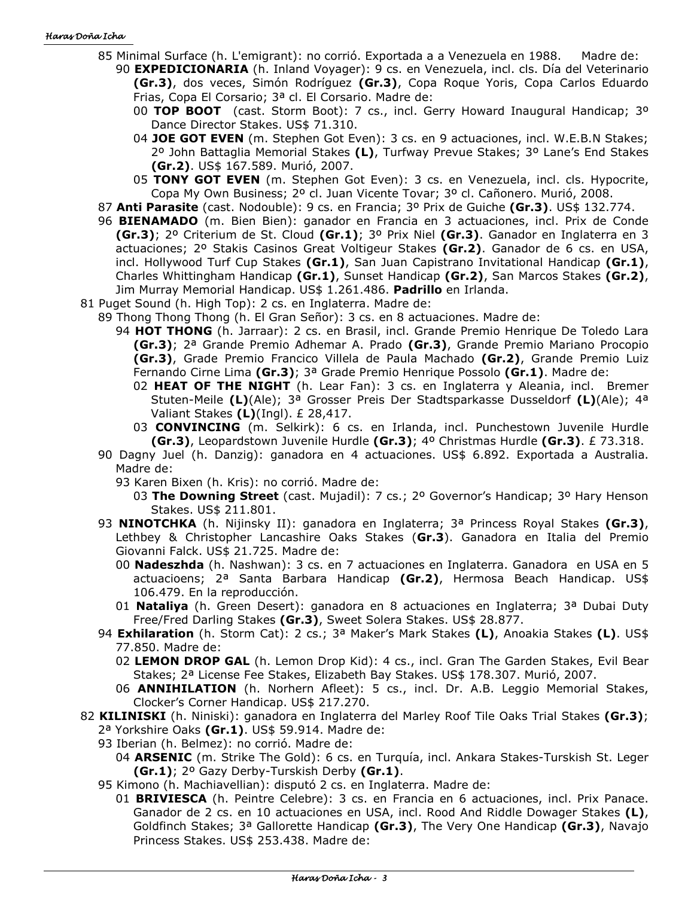#### Haras Doña Icha

- 85 Minimal Surface (h. L'emigrant): no corrió. Exportada a a Venezuela en 1988. Madre de: 90 **EXPEDICIONARIA** (h. Inland Voyager): 9 cs. en Venezuela, incl. cls. Día del Veterinario
	- **(Gr.3)**, dos veces, Simón Rodríguez **(Gr.3)**, Copa Roque Yoris, Copa Carlos Eduardo Frias, Copa El Corsario; 3ª cl. El Corsario. Madre de:
	- 00 **TOP BOOT** (cast. Storm Boot): 7 cs., incl. Gerry Howard Inaugural Handicap; 3º Dance Director Stakes. US\$ 71.310.
	- 04 **JOE GOT EVEN** (m. Stephen Got Even): 3 cs. en 9 actuaciones, incl. W.E.B.N Stakes; 2º John Battaglia Memorial Stakes **(L)**, Turfway Prevue Stakes; 3º Lane's End Stakes **(Gr.2)**. US\$ 167.589. Murió, 2007.
	- 05 **TONY GOT EVEN** (m. Stephen Got Even): 3 cs. en Venezuela, incl. cls. Hypocrite, Copa My Own Business; 2º cl. Juan Vicente Tovar; 3º cl. Cañonero. Murió, 2008.
- 87 **Anti Parasite** (cast. Nodouble): 9 cs. en Francia; 3º Prix de Guiche **(Gr.3)**. US\$ 132.774.
- 96 **BIENAMADO** (m. Bien Bien): ganador en Francia en 3 actuaciones, incl. Prix de Conde **(Gr.3)**; 2º Criterium de St. Cloud **(Gr.1)**; 3º Prix Niel **(Gr.3)**. Ganador en Inglaterra en 3 actuaciones; 2º Stakis Casinos Great Voltigeur Stakes **(Gr.2)**. Ganador de 6 cs. en USA, incl. Hollywood Turf Cup Stakes **(Gr.1)**, San Juan Capistrano Invitational Handicap **(Gr.1)**, Charles Whittingham Handicap **(Gr.1)**, Sunset Handicap **(Gr.2)**, San Marcos Stakes **(Gr.2)**, Jim Murray Memorial Handicap. US\$ 1.261.486. **Padrillo** en Irlanda.
- 81 Puget Sound (h. High Top): 2 cs. en Inglaterra. Madre de:
	- 89 Thong Thong Thong (h. El Gran Señor): 3 cs. en 8 actuaciones. Madre de:
		- 94 **HOT THONG** (h. Jarraar): 2 cs. en Brasil, incl. Grande Premio Henrique De Toledo Lara **(Gr.3)**; 2ª Grande Premio Adhemar A. Prado **(Gr.3)**, Grande Premio Mariano Procopio **(Gr.3)**, Grade Premio Francico Villela de Paula Machado **(Gr.2)**, Grande Premio Luiz Fernando Cirne Lima **(Gr.3)**; 3ª Grade Premio Henrique Possolo **(Gr.1)**. Madre de:
			- 02 **HEAT OF THE NIGHT** (h. Lear Fan): 3 cs. en Inglaterra y Aleania, incl. Bremer Stuten-Meile **(L)**(Ale); 3ª Grosser Preis Der Stadtsparkasse Dusseldorf **(L)**(Ale); 4ª Valiant Stakes **(L)**(Ingl). £ 28,417.
			- 03 **CONVINCING** (m. Selkirk): 6 cs. en Irlanda, incl. Punchestown Juvenile Hurdle **(Gr.3)**, Leopardstown Juvenile Hurdle **(Gr.3)**; 4º Christmas Hurdle **(Gr.3)**. £ 73.318.
	- 90 Dagny Juel (h. Danzig): ganadora en 4 actuaciones. US\$ 6.892. Exportada a Australia. Madre de:
		- 93 Karen Bixen (h. Kris): no corrió. Madre de:
			- 03 **The Downing Street** (cast. Mujadil): 7 cs.; 2º Governor's Handicap; 3º Hary Henson Stakes. US\$ 211.801.
	- 93 **NINOTCHKA** (h. Nijinsky II): ganadora en Inglaterra; 3ª Princess Royal Stakes **(Gr.3)**, Lethbey & Christopher Lancashire Oaks Stakes (**Gr.3**). Ganadora en Italia del Premio Giovanni Falck. US\$ 21.725. Madre de:
		- 00 **Nadeszhda** (h. Nashwan): 3 cs. en 7 actuaciones en Inglaterra. Ganadora en USA en 5 actuacioens; 2ª Santa Barbara Handicap **(Gr.2)**, Hermosa Beach Handicap. US\$ 106.479. En la reproducción.
		- 01 **Nataliya** (h. Green Desert): ganadora en 8 actuaciones en Inglaterra; 3ª Dubai Duty Free/Fred Darling Stakes **(Gr.3)**, Sweet Solera Stakes. US\$ 28.877.
	- 94 **Exhilaration** (h. Storm Cat): 2 cs.; 3ª Maker's Mark Stakes **(L)**, Anoakia Stakes **(L)**. US\$ 77.850. Madre de:
		- 02 **LEMON DROP GAL** (h. Lemon Drop Kid): 4 cs., incl. Gran The Garden Stakes, Evil Bear Stakes; 2ª License Fee Stakes, Elizabeth Bay Stakes. US\$ 178.307. Murió, 2007.
		- 06 **ANNIHILATION** (h. Norhern Afleet): 5 cs., incl. Dr. A.B. Leggio Memorial Stakes, Clocker's Corner Handicap. US\$ 217.270.
- 82 **KILINISKI** (h. Niniski): ganadora en Inglaterra del Marley Roof Tile Oaks Trial Stakes **(Gr.3)**;
	- 2ª Yorkshire Oaks **(Gr.1)**. US\$ 59.914. Madre de:
	- 93 Iberian (h. Belmez): no corrió. Madre de:
		- 04 **ARSENIC** (m. Strike The Gold): 6 cs. en Turquía, incl. Ankara Stakes-Turskish St. Leger **(Gr.1)**; 2º Gazy Derby-Turskish Derby **(Gr.1)**.
	- 95 Kimono (h. Machiavellian): disputó 2 cs. en Inglaterra. Madre de:
		- 01 **BRIVIESCA** (h. Peintre Celebre): 3 cs. en Francia en 6 actuaciones, incl. Prix Panace. Ganador de 2 cs. en 10 actuaciones en USA, incl. Rood And Riddle Dowager Stakes **(L)**, Goldfinch Stakes; 3ª Gallorette Handicap **(Gr.3)**, The Very One Handicap **(Gr.3)**, Navajo Princess Stakes. US\$ 253.438. Madre de: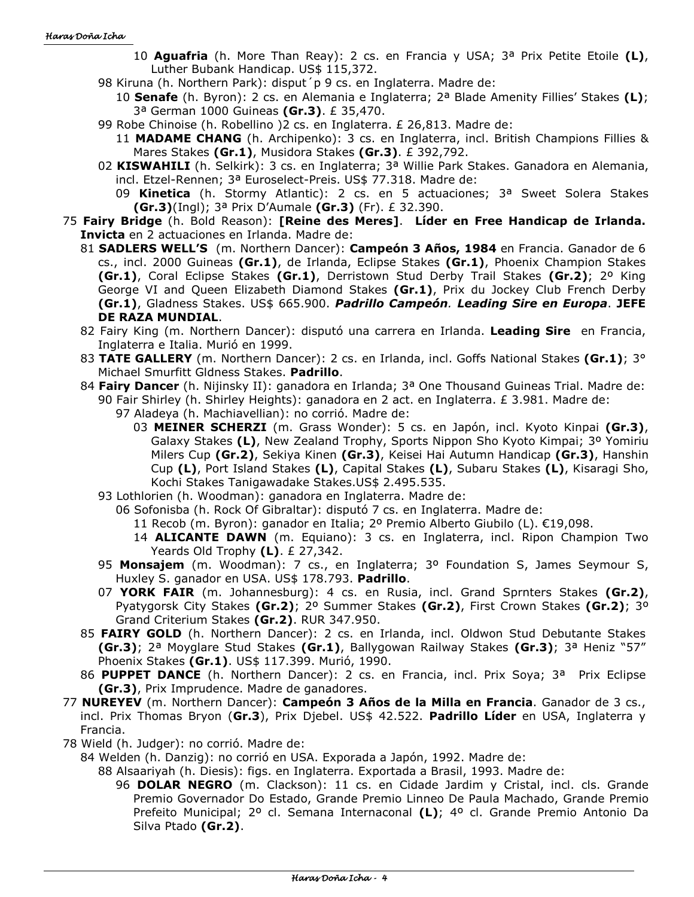- 10 **Aguafria** (h. More Than Reay): 2 cs. en Francia y USA; 3ª Prix Petite Etoile **(L)**, Luther Bubank Handicap. US\$ 115,372.
- 98 Kiruna (h. Northern Park): disput´p 9 cs. en Inglaterra. Madre de:
	- 10 **Senafe** (h. Byron): 2 cs. en Alemania e Inglaterra; 2ª Blade Amenity Fillies' Stakes **(L)**; 3ª German 1000 Guineas **(Gr.3)**. £ 35,470.
- 99 Robe Chinoise (h. Robellino )2 cs. en Inglaterra. £ 26,813. Madre de:
	- 11 **MADAME CHANG** (h. Archipenko): 3 cs. en Inglaterra, incl. British Champions Fillies & Mares Stakes **(Gr.1)**, Musidora Stakes **(Gr.3)**. £ 392,792.
- 02 **KISWAHILI** (h. Selkirk): 3 cs. en Inglaterra; 3ª Willie Park Stakes. Ganadora en Alemania, incl. Etzel-Rennen; 3ª Euroselect-Preis. US\$ 77.318. Madre de:
	- 09 **Kinetica** (h. Stormy Atlantic): 2 cs. en 5 actuaciones; 3ª Sweet Solera Stakes **(Gr.3)**(Ingl); 3ª Prix D'Aumale **(Gr.3)** (Fr). £ 32.390.
- 75 **Fairy Bridge** (h. Bold Reason): **[Reine des Meres]**. **Líder en Free Handicap de Irlanda. Invicta** en 2 actuaciones en Irlanda. Madre de:
	- 81 **SADLERS WELL'S** (m. Northern Dancer): **Campeón 3 Años, 1984** en Francia. Ganador de 6 cs., incl. 2000 Guineas **(Gr.1)**, de Irlanda, Eclipse Stakes **(Gr.1)**, Phoenix Champion Stakes **(Gr.1)**, Coral Eclipse Stakes **(Gr.1)**, Derristown Stud Derby Trail Stakes **(Gr.2)**; 2º King George VI and Queen Elizabeth Diamond Stakes **(Gr.1)**, Prix du Jockey Club French Derby **(Gr.1)**, Gladness Stakes. US\$ 665.900. *Padrillo Campeón. Leading Sire en Europa*. **JEFE DE RAZA MUNDIAL**.
	- 82 Fairy King (m. Northern Dancer): disputó una carrera en Irlanda. **Leading Sire** en Francia, Inglaterra e Italia. Murió en 1999.
	- 83 **TATE GALLERY** (m. Northern Dancer): 2 cs. en Irlanda, incl. Goffs National Stakes **(Gr.1)**; 3° Michael Smurfitt Gldness Stakes. **Padrillo**.
	- 84 **Fairy Dancer** (h. Nijinsky II): ganadora en Irlanda; 3ª One Thousand Guineas Trial. Madre de: 90 Fair Shirley (h. Shirley Heights): ganadora en 2 act. en Inglaterra. £ 3.981. Madre de:
		- 97 Aladeya (h. Machiavellian): no corrió. Madre de:
			- 03 **MEINER SCHERZI** (m. Grass Wonder): 5 cs. en Japón, incl. Kyoto Kinpai **(Gr.3)**, Galaxy Stakes **(L)**, New Zealand Trophy, Sports Nippon Sho Kyoto Kimpai; 3º Yomiriu Milers Cup **(Gr.2)**, Sekiya Kinen **(Gr.3)**, Keisei Hai Autumn Handicap **(Gr.3)**, Hanshin Cup **(L)**, Port Island Stakes **(L)**, Capital Stakes **(L)**, Subaru Stakes **(L)**, Kisaragi Sho, Kochi Stakes Tanigawadake Stakes.US\$ 2.495.535.
		- 93 Lothlorien (h. Woodman): ganadora en Inglaterra. Madre de:
			- 06 Sofonisba (h. Rock Of Gibraltar): disputó 7 cs. en Inglaterra. Madre de:

11 Recob (m. Byron): ganador en Italia; 2º Premio Alberto Giubilo (L). €19,098.

- 14 **ALICANTE DAWN** (m. Equiano): 3 cs. en Inglaterra, incl. Ripon Champion Two Yeards Old Trophy **(L)**. £ 27,342.
- 95 **Monsajem** (m. Woodman): 7 cs., en Inglaterra; 3º Foundation S, James Seymour S, Huxley S. ganador en USA. US\$ 178.793. **Padrillo**.
- 07 **YORK FAIR** (m. Johannesburg): 4 cs. en Rusia, incl. Grand Sprnters Stakes **(Gr.2)**, Pyatygorsk City Stakes **(Gr.2)**; 2º Summer Stakes **(Gr.2)**, First Crown Stakes **(Gr.2)**; 3º Grand Criterium Stakes **(Gr.2)**. RUR 347.950.
- 85 **FAIRY GOLD** (h. Northern Dancer): 2 cs. en Irlanda, incl. Oldwon Stud Debutante Stakes **(Gr.3)**; 2ª Moyglare Stud Stakes **(Gr.1)**, Ballygowan Railway Stakes **(Gr.3)**; 3ª Heniz "57" Phoenix Stakes **(Gr.1)**. US\$ 117.399. Murió, 1990.
- 86 **PUPPET DANCE** (h. Northern Dancer): 2 cs. en Francia, incl. Prix Soya; 3ª Prix Eclipse **(Gr.3)**, Prix Imprudence. Madre de ganadores.
- 77 **NUREYEV** (m. Northern Dancer): **Campeón 3 Años de la Milla en Francia**. Ganador de 3 cs., incl. Prix Thomas Bryon (**Gr.3**), Prix Djebel. US\$ 42.522. **Padrillo Líder** en USA, Inglaterra y Francia.
- 78 Wield (h. Judger): no corrió. Madre de:
	- 84 Welden (h. Danzig): no corrió en USA. Exporada a Japón, 1992. Madre de:

88 Alsaariyah (h. Diesis): figs. en Inglaterra. Exportada a Brasil, 1993. Madre de:

96 **DOLAR NEGRO** (m. Clackson): 11 cs. en Cidade Jardim y Cristal, incl. cls. Grande Premio Governador Do Estado, Grande Premio Linneo De Paula Machado, Grande Premio Prefeito Municipal; 2º cl. Semana Internaconal **(L)**; 4º cl. Grande Premio Antonio Da Silva Ptado **(Gr.2)**.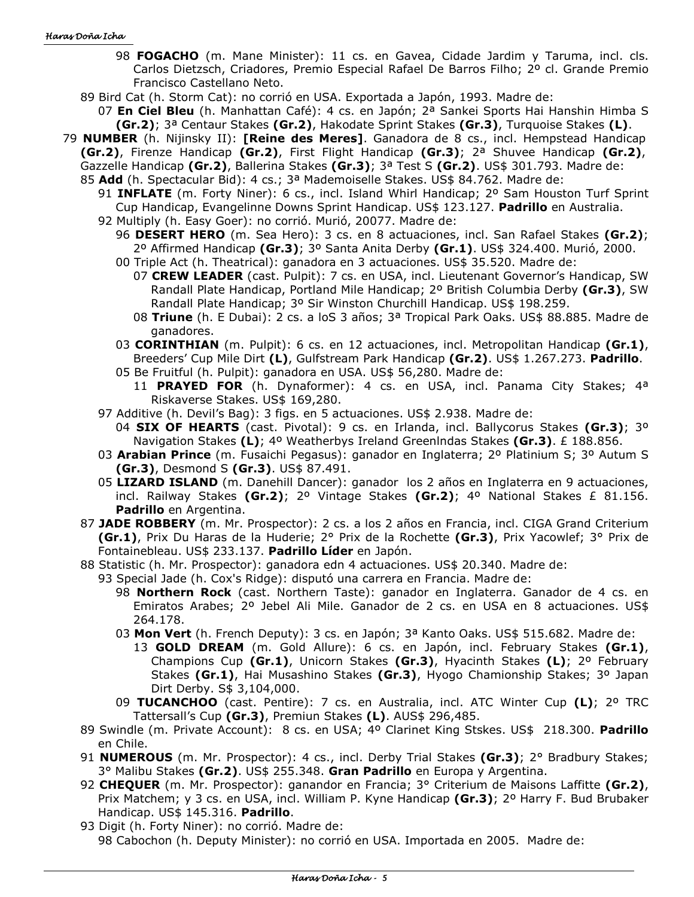- 98 **FOGACHO** (m. Mane Minister): 11 cs. en Gavea, Cidade Jardim y Taruma, incl. cls. Carlos Dietzsch, Criadores, Premio Especial Rafael De Barros Filho; 2º cl. Grande Premio Francisco Castellano Neto.
- 89 Bird Cat (h. Storm Cat): no corrió en USA. Exportada a Japón, 1993. Madre de:
	- 07 **En Ciel Bleu** (h. Manhattan Café): 4 cs. en Japón; 2ª Sankei Sports Hai Hanshin Himba S **(Gr.2)**; 3ª Centaur Stakes **(Gr.2)**, Hakodate Sprint Stakes **(Gr.3)**, Turquoise Stakes **(L)**.
- 79 **NUMBER** (h. Nijinsky II): **[Reine des Meres]**. Ganadora de 8 cs., incl. Hempstead Handicap
	- **(Gr.2)**, Firenze Handicap **(Gr.2)**, First Flight Handicap **(Gr.3)**; 2ª Shuvee Handicap **(Gr.2)**, Gazzelle Handicap **(Gr.2)**, Ballerina Stakes **(Gr.3)**; 3ª Test S **(Gr.2)**. US\$ 301.793. Madre de:
	- 85 **Add** (h. Spectacular Bid): 4 cs.; 3ª Mademoiselle Stakes. US\$ 84.762. Madre de:
		- 91 **INFLATE** (m. Forty Niner): 6 cs., incl. Island Whirl Handicap; 2º Sam Houston Turf Sprint Cup Handicap, Evangelinne Downs Sprint Handicap. US\$ 123.127. **Padrillo** en Australia.
		- 92 Multiply (h. Easy Goer): no corrió. Murió, 20077. Madre de: 96 **DESERT HERO** (m. Sea Hero): 3 cs. en 8 actuaciones, incl. San Rafael Stakes **(Gr.2)**;
			- 2º Affirmed Handicap **(Gr.3)**; 3º Santa Anita Derby **(Gr.1)**. US\$ 324.400. Murió, 2000.
			- 00 Triple Act (h. Theatrical): ganadora en 3 actuaciones. US\$ 35.520. Madre de:
				- 07 **CREW LEADER** (cast. Pulpit): 7 cs. en USA, incl. Lieutenant Governor's Handicap, SW Randall Plate Handicap, Portland Mile Handicap; 2º British Columbia Derby **(Gr.3)**, SW Randall Plate Handicap; 3º Sir Winston Churchill Handicap. US\$ 198.259.
				- 08 **Triune** (h. E Dubai): 2 cs. a loS 3 años; 3ª Tropical Park Oaks. US\$ 88.885. Madre de ganadores.
			- 03 **CORINTHIAN** (m. Pulpit): 6 cs. en 12 actuaciones, incl. Metropolitan Handicap **(Gr.1)**, Breeders' Cup Mile Dirt **(L)**, Gulfstream Park Handicap **(Gr.2)**. US\$ 1.267.273. **Padrillo**.
			- 05 Be Fruitful (h. Pulpit): ganadora en USA. US\$ 56,280. Madre de: 11 **PRAYED FOR** (h. Dynaformer): 4 cs. en USA, incl. Panama City Stakes; 4ª Riskaverse Stakes. US\$ 169,280.
		- 97 Additive (h. Devil's Bag): 3 figs. en 5 actuaciones. US\$ 2.938. Madre de:
			- 04 **SIX OF HEARTS** (cast. Pivotal): 9 cs. en Irlanda, incl. Ballycorus Stakes **(Gr.3)**; 3º Navigation Stakes **(L)**; 4º Weatherbys Ireland Greenlndas Stakes **(Gr.3)**. £ 188.856.
		- 03 **Arabian Prince** (m. Fusaichi Pegasus): ganador en Inglaterra; 2º Platinium S; 3º Autum S **(Gr.3)**, Desmond S **(Gr.3)**. US\$ 87.491.
		- 05 **LIZARD ISLAND** (m. Danehill Dancer): ganador los 2 años en Inglaterra en 9 actuaciones, incl. Railway Stakes **(Gr.2)**; 2º Vintage Stakes **(Gr.2)**; 4º National Stakes £ 81.156. **Padrillo** en Argentina.
	- 87 **JADE ROBBERY** (m. Mr. Prospector): 2 cs. a los 2 años en Francia, incl. CIGA Grand Criterium **(Gr.1)**, Prix Du Haras de la Huderie; 2° Prix de la Rochette **(Gr.3)**, Prix Yacowlef; 3° Prix de Fontainebleau. US\$ 233.137. **Padrillo Líder** en Japón.
	- 88 Statistic (h. Mr. Prospector): ganadora edn 4 actuaciones. US\$ 20.340. Madre de:
	- 93 Special Jade (h. Cox's Ridge): disputó una carrera en Francia. Madre de:
		- 98 **Northern Rock** (cast. Northern Taste): ganador en Inglaterra. Ganador de 4 cs. en Emiratos Arabes; 2º Jebel Ali Mile. Ganador de 2 cs. en USA en 8 actuaciones. US\$ 264.178.
		- 03 **Mon Vert** (h. French Deputy): 3 cs. en Japón; 3ª Kanto Oaks. US\$ 515.682. Madre de:
			- 13 **GOLD DREAM** (m. Gold Allure): 6 cs. en Japón, incl. February Stakes **(Gr.1)**, Champions Cup **(Gr.1)**, Unicorn Stakes **(Gr.3)**, Hyacinth Stakes **(L)**; 2º February Stakes **(Gr.1)**, Hai Musashino Stakes **(Gr.3)**, Hyogo Chamionship Stakes; 3º Japan Dirt Derby. S\$ 3,104,000.
		- 09 **TUCANCHOO** (cast. Pentire): 7 cs. en Australia, incl. ATC Winter Cup **(L)**; 2º TRC Tattersall's Cup **(Gr.3)**, Premiun Stakes **(L)**. AUS\$ 296,485.
	- 89 Swindle (m. Private Account): 8 cs. en USA; 4º Clarinet King Stskes. US\$ 218.300. **Padrillo** en Chile.
	- 91 **NUMEROUS** (m. Mr. Prospector): 4 cs., incl. Derby Trial Stakes **(Gr.3)**; 2° Bradbury Stakes; 3° Malibu Stakes **(Gr.2)**. US\$ 255.348. **Gran Padrillo** en Europa y Argentina.
	- 92 **CHEQUER** (m. Mr. Prospector): ganandor en Francia; 3° Criterium de Maisons Laffitte **(Gr.2)**, Prix Matchem; y 3 cs. en USA, incl. William P. Kyne Handicap **(Gr.3)**; 2º Harry F. Bud Brubaker Handicap. US\$ 145.316. **Padrillo**.
	- 93 Digit (h. Forty Niner): no corrió. Madre de: 98 Cabochon (h. Deputy Minister): no corrió en USA. Importada en 2005. Madre de: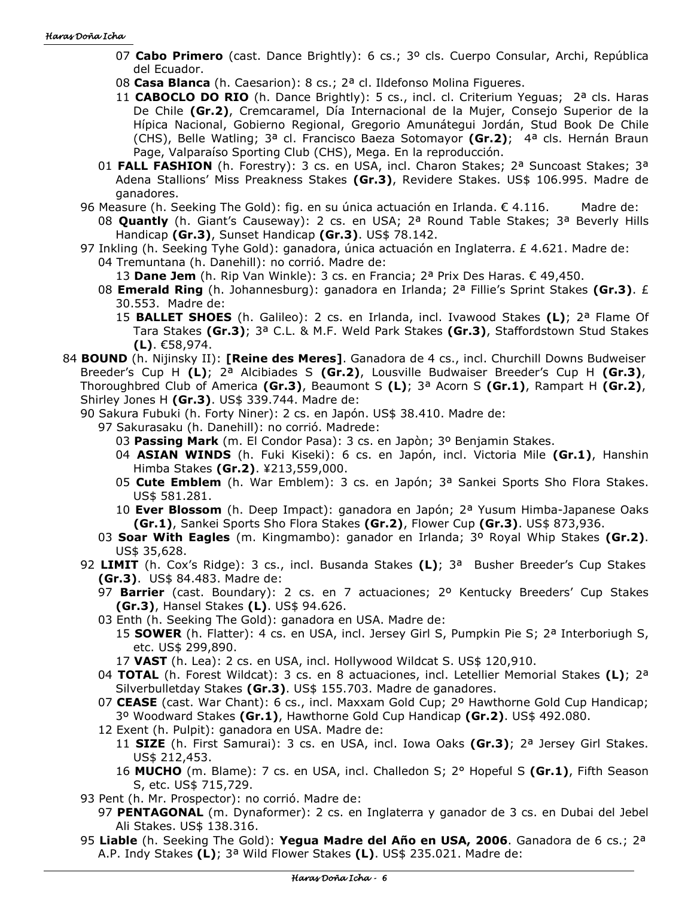- 07 **Cabo Primero** (cast. Dance Brightly): 6 cs.; 3º cls. Cuerpo Consular, Archi, República del Ecuador.
- 08 **Casa Blanca** (h. Caesarion): 8 cs.; 2ª cl. Ildefonso Molina Figueres.
- 11 **CABOCLO DO RIO** (h. Dance Brightly): 5 cs., incl. cl. Criterium Yeguas; 2ª cls. Haras De Chile **(Gr.2)**, Cremcaramel, Día Internacional de la Mujer, Consejo Superior de la Hípica Nacional, Gobierno Regional, Gregorio Amunátegui Jordán, Stud Book De Chile (CHS), Belle Watling; 3ª cl. Francisco Baeza Sotomayor **(Gr.2)**; 4ª cls. Hernán Braun Page, Valparaíso Sporting Club (CHS), Mega. En la reproducción.
- 01 **FALL FASHION** (h. Forestry): 3 cs. en USA, incl. Charon Stakes; 2ª Suncoast Stakes; 3ª Adena Stallions' Miss Preakness Stakes **(Gr.3)**, Revidere Stakes. US\$ 106.995. Madre de ganadores.
- 96 Measure (h. Seeking The Gold): fig. en su única actuación en Irlanda. € 4.116. Madre de: 08 **Quantly** (h. Giant's Causeway): 2 cs. en USA; 2ª Round Table Stakes; 3ª Beverly Hills Handicap **(Gr.3)**, Sunset Handicap **(Gr.3)**. US\$ 78.142.
- 97 Inkling (h. Seeking Tyhe Gold): ganadora, única actuación en Inglaterra. £ 4.621. Madre de: 04 Tremuntana (h. Danehill): no corrió. Madre de:
	- 13 **Dane Jem** (h. Rip Van Winkle): 3 cs. en Francia; 2ª Prix Des Haras. € 49,450.
	- 08 **Emerald Ring** (h. Johannesburg): ganadora en Irlanda; 2ª Fillie's Sprint Stakes **(Gr.3)**. £ 30.553. Madre de:
		- 15 **BALLET SHOES** (h. Galileo): 2 cs. en Irlanda, incl. Ivawood Stakes **(L)**; 2ª Flame Of Tara Stakes **(Gr.3)**; 3ª C.L. & M.F. Weld Park Stakes **(Gr.3)**, Staffordstown Stud Stakes **(L)**. €58,974.
- 84 **BOUND** (h. Nijinsky II): **[Reine des Meres]**. Ganadora de 4 cs., incl. Churchill Downs Budweiser Breeder's Cup H **(L)**; 2ª Alcibiades S **(Gr.2)**, Lousville Budwaiser Breeder's Cup H **(Gr.3)**, Thoroughbred Club of America **(Gr.3)**, Beaumont S **(L)**; 3ª Acorn S **(Gr.1)**, Rampart H **(Gr.2)**, Shirley Jones H **(Gr.3)**. US\$ 339.744. Madre de:
	- 90 Sakura Fubuki (h. Forty Niner): 2 cs. en Japón. US\$ 38.410. Madre de:
		- 97 Sakurasaku (h. Danehill): no corrió. Madrede:
			- 03 **Passing Mark** (m. El Condor Pasa): 3 cs. en Japòn; 3º Benjamin Stakes.
			- 04 **ASIAN WINDS** (h. Fuki Kiseki): 6 cs. en Japón, incl. Victoria Mile **(Gr.1)**, Hanshin Himba Stakes **(Gr.2)**. ¥213,559,000.
			- 05 **Cute Emblem** (h. War Emblem): 3 cs. en Japón; 3ª Sankei Sports Sho Flora Stakes. US\$ 581.281.
			- 10 **Ever Blossom** (h. Deep Impact): ganadora en Japón; 2ª Yusum Himba-Japanese Oaks **(Gr.1)**, Sankei Sports Sho Flora Stakes **(Gr.2)**, Flower Cup **(Gr.3)**. US\$ 873,936.
		- 03 **Soar With Eagles** (m. Kingmambo): ganador en Irlanda; 3º Royal Whip Stakes **(Gr.2)**. US\$ 35,628.
	- 92 **LIMIT** (h. Cox's Ridge): 3 cs., incl. Busanda Stakes **(L)**; 3ª Busher Breeder's Cup Stakes **(Gr.3)**. US\$ 84.483. Madre de:
		- 97 **Barrier** (cast. Boundary): 2 cs. en 7 actuaciones; 2º Kentucky Breeders' Cup Stakes **(Gr.3)**, Hansel Stakes **(L)**. US\$ 94.626.
		- 03 Enth (h. Seeking The Gold): ganadora en USA. Madre de:
			- 15 **SOWER** (h. Flatter): 4 cs. en USA, incl. Jersey Girl S, Pumpkin Pie S; 2ª Interboriugh S, etc. US\$ 299,890.

17 **VAST** (h. Lea): 2 cs. en USA, incl. Hollywood Wildcat S. US\$ 120,910.

- 04 **TOTAL** (h. Forest Wildcat): 3 cs. en 8 actuaciones, incl. Letellier Memorial Stakes **(L)**; 2ª Silverbulletday Stakes **(Gr.3)**. US\$ 155.703. Madre de ganadores.
- 07 **CEASE** (cast. War Chant): 6 cs., incl. Maxxam Gold Cup; 2º Hawthorne Gold Cup Handicap; 3º Woodward Stakes **(Gr.1)**, Hawthorne Gold Cup Handicap **(Gr.2)**. US\$ 492.080.
- 12 Exent (h. Pulpit): ganadora en USA. Madre de:
	- 11 **SIZE** (h. First Samurai): 3 cs. en USA, incl. Iowa Oaks **(Gr.3)**; 2ª Jersey Girl Stakes. US\$ 212,453.
	- 16 **MUCHO** (m. Blame): 7 cs. en USA, incl. Challedon S; 2° Hopeful S **(Gr.1)**, Fifth Season S, etc. US\$ 715,729.
- 93 Pent (h. Mr. Prospector): no corrió. Madre de:
	- 97 **PENTAGONAL** (m. Dynaformer): 2 cs. en Inglaterra y ganador de 3 cs. en Dubai del Jebel Ali Stakes. US\$ 138.316.
- 95 **Liable** (h. Seeking The Gold): **Yegua Madre del Año en USA, 2006**. Ganadora de 6 cs.; 2ª A.P. Indy Stakes **(L)**; 3ª Wild Flower Stakes **(L)**. US\$ 235.021. Madre de: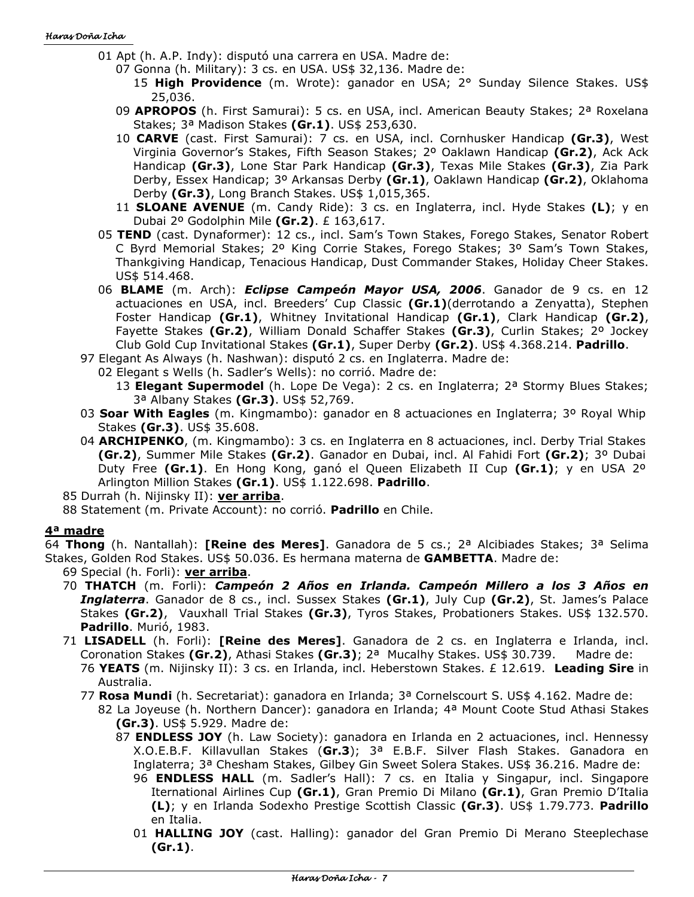- 01 Apt (h. A.P. Indy): disputó una carrera en USA. Madre de:
	- 07 Gonna (h. Military): 3 cs. en USA. US\$ 32,136. Madre de:
		- 15 **High Providence** (m. Wrote): ganador en USA; 2° Sunday Silence Stakes. US\$ 25,036.
	- 09 **APROPOS** (h. First Samurai): 5 cs. en USA, incl. American Beauty Stakes; 2ª Roxelana Stakes; 3ª Madison Stakes **(Gr.1)**. US\$ 253,630.
	- 10 **CARVE** (cast. First Samurai): 7 cs. en USA, incl. Cornhusker Handicap **(Gr.3)**, West Virginia Governor's Stakes, Fifth Season Stakes; 2º Oaklawn Handicap **(Gr.2)**, Ack Ack Handicap **(Gr.3)**, Lone Star Park Handicap **(Gr.3)**, Texas Mile Stakes **(Gr.3)**, Zia Park Derby, Essex Handicap; 3º Arkansas Derby **(Gr.1)**, Oaklawn Handicap **(Gr.2)**, Oklahoma Derby **(Gr.3)**, Long Branch Stakes. US\$ 1,015,365.
	- 11 **SLOANE AVENUE** (m. Candy Ride): 3 cs. en Inglaterra, incl. Hyde Stakes **(L)**; y en Dubai 2º Godolphin Mile **(Gr.2)**. £ 163,617.
- 05 **TEND** (cast. Dynaformer): 12 cs., incl. Sam's Town Stakes, Forego Stakes, Senator Robert C Byrd Memorial Stakes; 2º King Corrie Stakes, Forego Stakes; 3º Sam's Town Stakes, Thankgiving Handicap, Tenacious Handicap, Dust Commander Stakes, Holiday Cheer Stakes. US\$ 514.468.
- 06 **BLAME** (m. Arch): *Eclipse Campeón Mayor USA, 2006*. Ganador de 9 cs. en 12 actuaciones en USA, incl. Breeders' Cup Classic **(Gr.1)**(derrotando a Zenyatta), Stephen Foster Handicap **(Gr.1)**, Whitney Invitational Handicap **(Gr.1)**, Clark Handicap **(Gr.2)**, Fayette Stakes **(Gr.2)**, William Donald Schaffer Stakes **(Gr.3)**, Curlin Stakes; 2º Jockey Club Gold Cup Invitational Stakes **(Gr.1)**, Super Derby **(Gr.2)**. US\$ 4.368.214. **Padrillo**.
- 97 Elegant As Always (h. Nashwan): disputó 2 cs. en Inglaterra. Madre de:
	- 02 Elegant s Wells (h. Sadler's Wells): no corrió. Madre de:
		- 13 **Elegant Supermodel** (h. Lope De Vega): 2 cs. en Inglaterra; 2ª Stormy Blues Stakes; 3ª Albany Stakes **(Gr.3)**. US\$ 52,769.
- 03 **Soar With Eagles** (m. Kingmambo): ganador en 8 actuaciones en Inglaterra; 3º Royal Whip Stakes **(Gr.3)**. US\$ 35.608.
- 04 **ARCHIPENKO**, (m. Kingmambo): 3 cs. en Inglaterra en 8 actuaciones, incl. Derby Trial Stakes **(Gr.2)**, Summer Mile Stakes **(Gr.2)**. Ganador en Dubai, incl. Al Fahidi Fort **(Gr.2)**; 3º Dubai Duty Free **(Gr.1)**. En Hong Kong, ganó el Queen Elizabeth II Cup **(Gr.1)**; y en USA 2º Arlington Million Stakes **(Gr.1)**. US\$ 1.122.698. **Padrillo**.

85 Durrah (h. Nijinsky II): **ver arriba**.

88 Statement (m. Private Account): no corrió. **Padrillo** en Chile.

# **4ª madre**

64 **Thong** (h. Nantallah): **[Reine des Meres]**. Ganadora de 5 cs.; 2ª Alcibiades Stakes; 3ª Selima Stakes, Golden Rod Stakes. US\$ 50.036. Es hermana materna de **GAMBETTA**. Madre de:

- 69 Special (h. Forli): **ver arriba**.
- 70 **THATCH** (m. Forli): *Campeón 2 Años en Irlanda. Campeón Millero a los 3 Años en Inglaterra*. Ganador de 8 cs., incl. Sussex Stakes **(Gr.1)**, July Cup **(Gr.2)**, St. James's Palace Stakes **(Gr.2)**, Vauxhall Trial Stakes **(Gr.3)**, Tyros Stakes, Probationers Stakes. US\$ 132.570. **Padrillo**. Murió, 1983.
- 71 **LISADELL** (h. Forli): **[Reine des Meres]**. Ganadora de 2 cs. en Inglaterra e Irlanda, incl. Coronation Stakes **(Gr.2)**, Athasi Stakes **(Gr.3)**; 2ª Mucalhy Stakes. US\$ 30.739. Madre de: 76 **YEATS** (m. Nijinsky II): 3 cs. en Irlanda, incl. Heberstown Stakes. £ 12.619. **Leading Sire** in
	- Australia.
	- 77 **Rosa Mundi** (h. Secretariat): ganadora en Irlanda; 3ª Cornelscourt S. US\$ 4.162. Madre de:
		- 82 La Joyeuse (h. Northern Dancer): ganadora en Irlanda; 4ª Mount Coote Stud Athasi Stakes **(Gr.3)**. US\$ 5.929. Madre de:
			- 87 **ENDLESS JOY** (h. Law Society): ganadora en Irlanda en 2 actuaciones, incl. Hennessy X.O.E.B.F. Killavullan Stakes (**Gr.3**); 3ª E.B.F. Silver Flash Stakes. Ganadora en Inglaterra; 3ª Chesham Stakes, Gilbey Gin Sweet Solera Stakes. US\$ 36.216. Madre de: 96 **ENDLESS HALL** (m. Sadler's Hall): 7 cs. en Italia y Singapur, incl. Singapore
				- Iternational Airlines Cup **(Gr.1)**, Gran Premio Di Milano **(Gr.1)**, Gran Premio D'Italia **(L)**; y en Irlanda Sodexho Prestige Scottish Classic **(Gr.3)**. US\$ 1.79.773. **Padrillo** en Italia.
				- 01 **HALLING JOY** (cast. Halling): ganador del Gran Premio Di Merano Steeplechase **(Gr.1)**.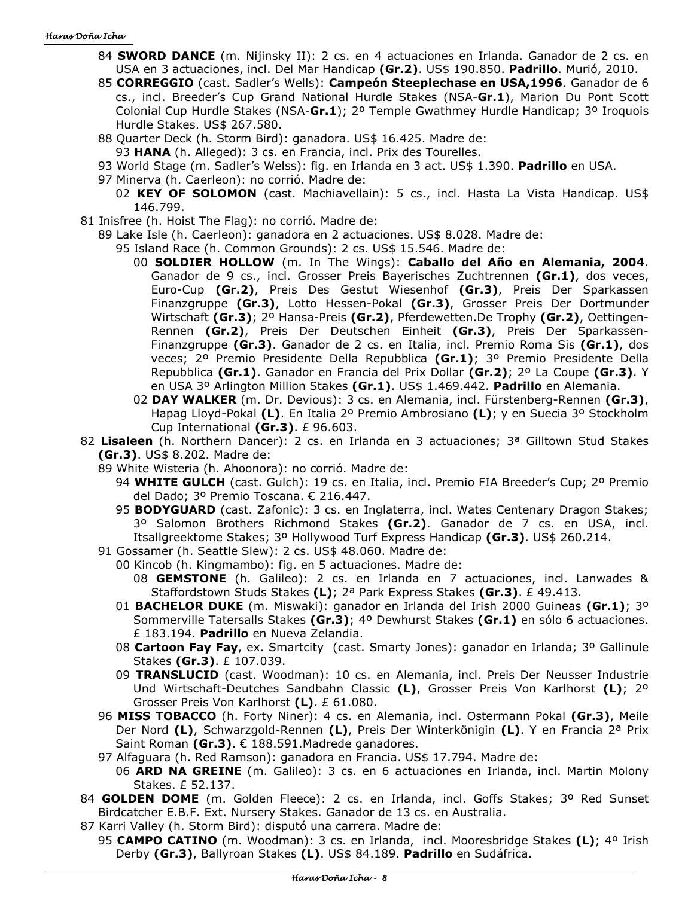- 84 **SWORD DANCE** (m. Nijinsky II): 2 cs. en 4 actuaciones en Irlanda. Ganador de 2 cs. en USA en 3 actuaciones, incl. Del Mar Handicap **(Gr.2)**. US\$ 190.850. **Padrillo**. Murió, 2010.
- 85 **CORREGGIO** (cast. Sadler's Wells): **Campeón Steeplechase en USA,1996**. Ganador de 6 cs., incl. Breeder's Cup Grand National Hurdle Stakes (NSA-**Gr.1**), Marion Du Pont Scott Colonial Cup Hurdle Stakes (NSA-**Gr.1**); 2º Temple Gwathmey Hurdle Handicap; 3º Iroquois Hurdle Stakes. US\$ 267.580.
- 88 Quarter Deck (h. Storm Bird): ganadora. US\$ 16.425. Madre de:
- 93 **HANA** (h. Alleged): 3 cs. en Francia, incl. Prix des Tourelles.
- 93 World Stage (m. Sadler's Welss): fig. en Irlanda en 3 act. US\$ 1.390. **Padrillo** en USA.
- 97 Minerva (h. Caerleon): no corrió. Madre de:
	- 02 **KEY OF SOLOMON** (cast. Machiavellain): 5 cs., incl. Hasta La Vista Handicap. US\$ 146.799.
- 81 Inisfree (h. Hoist The Flag): no corrió. Madre de:
	- 89 Lake Isle (h. Caerleon): ganadora en 2 actuaciones. US\$ 8.028. Madre de:
		- 95 Island Race (h. Common Grounds): 2 cs. US\$ 15.546. Madre de:
			- 00 **SOLDIER HOLLOW** (m. In The Wings): **Caballo del Año en Alemania, 2004**. Ganador de 9 cs., incl. Grosser Preis Bayerisches Zuchtrennen **(Gr.1)**, dos veces, Euro-Cup **(Gr.2)**, Preis Des Gestut Wiesenhof **(Gr.3)**, Preis Der Sparkassen Finanzgruppe **(Gr.3)**, Lotto Hessen-Pokal **(Gr.3)**, Grosser Preis Der Dortmunder Wirtschaft **(Gr.3)**; 2º Hansa-Preis **(Gr.2)**, Pferdewetten.De Trophy **(Gr.2)**, Oettingen-Rennen **(Gr.2)**, Preis Der Deutschen Einheit **(Gr.3)**, Preis Der Sparkassen-Finanzgruppe **(Gr.3)**. Ganador de 2 cs. en Italia, incl. Premio Roma Sis **(Gr.1)**, dos veces; 2º Premio Presidente Della Repubblica **(Gr.1)**; 3º Premio Presidente Della Repubblica **(Gr.1)**. Ganador en Francia del Prix Dollar **(Gr.2)**; 2º La Coupe **(Gr.3)**. Y en USA 3º Arlington Million Stakes **(Gr.1)**. US\$ 1.469.442. **Padrillo** en Alemania.
			- 02 **DAY WALKER** (m. Dr. Devious): 3 cs. en Alemania, incl. Fürstenberg-Rennen **(Gr.3)**, Hapag Lloyd-Pokal **(L)**. En Italia 2º Premio Ambrosiano **(L)**; y en Suecia 3º Stockholm Cup International **(Gr.3)**. £ 96.603.
- 82 **Lisaleen** (h. Northern Dancer): 2 cs. en Irlanda en 3 actuaciones; 3ª Gilltown Stud Stakes **(Gr.3)**. US\$ 8.202. Madre de:
	- 89 White Wisteria (h. Ahoonora): no corrió. Madre de:
		- 94 **WHITE GULCH** (cast. Gulch): 19 cs. en Italia, incl. Premio FIA Breeder's Cup; 2º Premio del Dado; 3º Premio Toscana. € 216.447.
		- 95 **BODYGUARD** (cast. Zafonic): 3 cs. en Inglaterra, incl. Wates Centenary Dragon Stakes; 3º Salomon Brothers Richmond Stakes **(Gr.2)**. Ganador de 7 cs. en USA, incl. Itsallgreektome Stakes; 3º Hollywood Turf Express Handicap **(Gr.3)**. US\$ 260.214.
	- 91 Gossamer (h. Seattle Slew): 2 cs. US\$ 48.060. Madre de:
		- 00 Kincob (h. Kingmambo): fig. en 5 actuaciones. Madre de: 08 **GEMSTONE** (h. Galileo): 2 cs. en Irlanda en 7 actuaciones, incl. Lanwades & Staffordstown Studs Stakes **(L)**; 2ª Park Express Stakes **(Gr.3)**. £ 49.413.
		- 01 **BACHELOR DUKE** (m. Miswaki): ganador en Irlanda del Irish 2000 Guineas **(Gr.1)**; 3º Sommerville Tatersalls Stakes **(Gr.3)**; 4º Dewhurst Stakes **(Gr.1)** en sólo 6 actuaciones. £ 183.194. **Padrillo** en Nueva Zelandia.
		- 08 **Cartoon Fay Fay**, ex. Smartcity (cast. Smarty Jones): ganador en Irlanda; 3º Gallinule Stakes **(Gr.3)**. £ 107.039.
		- 09 **TRANSLUCID** (cast. Woodman): 10 cs. en Alemania, incl. Preis Der Neusser Industrie Und Wirtschaft-Deutches Sandbahn Classic **(L)**, Grosser Preis Von Karlhorst **(L)**; 2º Grosser Preis Von Karlhorst **(L)**. £ 61.080.
	- 96 **MISS TOBACCO** (h. Forty Niner): 4 cs. en Alemania, incl. Ostermann Pokal **(Gr.3)**, Meile Der Nord **(L)**, Schwarzgold-Rennen **(L)**, Preis Der Winterkönigin **(L)**. Y en Francia 2ª Prix Saint Roman **(Gr.3)**. € 188.591.Madrede ganadores.
	- 97 Alfaguara (h. Red Ramson): ganadora en Francia. US\$ 17.794. Madre de:
		- 06 **ARD NA GREINE** (m. Galileo): 3 cs. en 6 actuaciones en Irlanda, incl. Martin Molony Stakes. £ 52.137.
- 84 **GOLDEN DOME** (m. Golden Fleece): 2 cs. en Irlanda, incl. Goffs Stakes; 3º Red Sunset Birdcatcher E.B.F. Ext. Nursery Stakes. Ganador de 13 cs. en Australia.
- 87 Karri Valley (h. Storm Bird): disputó una carrera. Madre de:
- 95 **CAMPO CATINO** (m. Woodman): 3 cs. en Irlanda, incl. Mooresbridge Stakes **(L)**; 4º Irish Derby **(Gr.3)**, Ballyroan Stakes **(L)**. US\$ 84.189. **Padrillo** en Sudáfrica.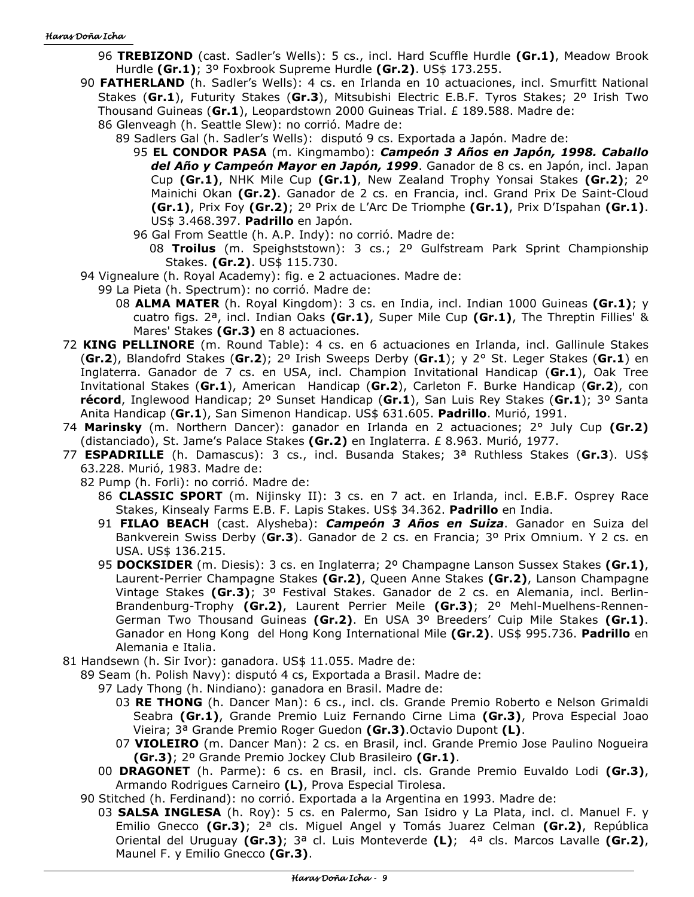- 96 **TREBIZOND** (cast. Sadler's Wells): 5 cs., incl. Hard Scuffle Hurdle **(Gr.1)**, Meadow Brook Hurdle **(Gr.1)**; 3º Foxbrook Supreme Hurdle **(Gr.2)**. US\$ 173.255.
- 90 **FATHERLAND** (h. Sadler's Wells): 4 cs. en Irlanda en 10 actuaciones, incl. Smurfitt National Stakes (**Gr.1**), Futurity Stakes (**Gr.3**), Mitsubishi Electric E.B.F. Tyros Stakes; 2º Irish Two Thousand Guineas (**Gr.1**), Leopardstown 2000 Guineas Trial. £ 189.588. Madre de:
	- 86 Glenveagh (h. Seattle Slew): no corrió. Madre de:
		- 89 Sadlers Gal (h. Sadler's Wells): disputó 9 cs. Exportada a Japón. Madre de:
			- 95 **EL CONDOR PASA** (m. Kingmambo): *Campeón 3 Años en Japón, 1998. Caballo del Año y Campeón Mayor en Japón, 1999*. Ganador de 8 cs. en Japón, incl. Japan Cup **(Gr.1)**, NHK Mile Cup **(Gr.1)**, New Zealand Trophy Yonsai Stakes **(Gr.2)**; 2º Mainichi Okan **(Gr.2)**. Ganador de 2 cs. en Francia, incl. Grand Prix De Saint-Cloud **(Gr.1)**, Prix Foy **(Gr.2)**; 2º Prix de L'Arc De Triomphe **(Gr.1)**, Prix D'Ispahan **(Gr.1)**. US\$ 3.468.397. **Padrillo** en Japón.
			- 96 Gal From Seattle (h. A.P. Indy): no corrió. Madre de:
				- 08 **Troilus** (m. Speighststown): 3 cs.; 2º Gulfstream Park Sprint Championship Stakes. **(Gr.2)**. US\$ 115.730.
- 94 Vignealure (h. Royal Academy): fig. e 2 actuaciones. Madre de:
	- 99 La Pieta (h. Spectrum): no corrió. Madre de:
		- 08 **ALMA MATER** (h. Royal Kingdom): 3 cs. en India, incl. Indian 1000 Guineas **(Gr.1)**; y cuatro figs. 2ª, incl. Indian Oaks **(Gr.1)**, Super Mile Cup **(Gr.1)**, The Threptin Fillies' & Mares' Stakes **(Gr.3)** en 8 actuaciones.
- 72 **KING PELLINORE** (m. Round Table): 4 cs. en 6 actuaciones en Irlanda, incl. Gallinule Stakes (**Gr.2**), Blandofrd Stakes (**Gr.2**); 2º Irish Sweeps Derby (**Gr.1**); y 2° St. Leger Stakes (**Gr.1**) en Inglaterra. Ganador de 7 cs. en USA, incl. Champion Invitational Handicap (**Gr.1**), Oak Tree Invitational Stakes (**Gr.1**), American Handicap (**Gr.2**), Carleton F. Burke Handicap (**Gr.2**), con **récord**, Inglewood Handicap; 2º Sunset Handicap (**Gr.1**), San Luis Rey Stakes (**Gr.1**); 3º Santa Anita Handicap (**Gr.1**), San Simenon Handicap. US\$ 631.605. **Padrillo**. Murió, 1991.
- 74 **Marinsky** (m. Northern Dancer): ganador en Irlanda en 2 actuaciones; 2° July Cup **(Gr.2)**  (distanciado), St. Jame's Palace Stakes **(Gr.2)** en Inglaterra. £ 8.963. Murió, 1977.
- 77 **ESPADRILLE** (h. Damascus): 3 cs., incl. Busanda Stakes; 3ª Ruthless Stakes (**Gr.3**). US\$ 63.228. Murió, 1983. Madre de:
	- 82 Pump (h. Forli): no corrió. Madre de:
		- 86 **CLASSIC SPORT** (m. Nijinsky II): 3 cs. en 7 act. en Irlanda, incl. E.B.F. Osprey Race Stakes, Kinsealy Farms E.B. F. Lapis Stakes. US\$ 34.362. **Padrillo** en India.
		- 91 **FILAO BEACH** (cast. Alysheba): *Campeón 3 Años en Suiza*. Ganador en Suiza del Bankverein Swiss Derby (**Gr.3**). Ganador de 2 cs. en Francia; 3º Prix Omnium. Y 2 cs. en USA. US\$ 136.215.
		- 95 **DOCKSIDER** (m. Diesis): 3 cs. en Inglaterra; 2º Champagne Lanson Sussex Stakes **(Gr.1)**, Laurent-Perrier Champagne Stakes **(Gr.2)**, Queen Anne Stakes **(Gr.2)**, Lanson Champagne Vintage Stakes **(Gr.3)**; 3º Festival Stakes. Ganador de 2 cs. en Alemania, incl. Berlin-Brandenburg-Trophy **(Gr.2)**, Laurent Perrier Meile **(Gr.3)**; 2º Mehl-Muelhens-Rennen-German Two Thousand Guineas **(Gr.2)**. En USA 3º Breeders' Cuip Mile Stakes **(Gr.1)**. Ganador en Hong Kong del Hong Kong International Mile **(Gr.2)**. US\$ 995.736. **Padrillo** en Alemania e Italia.
- 81 Handsewn (h. Sir Ivor): ganadora. US\$ 11.055. Madre de:
	- 89 Seam (h. Polish Navy): disputó 4 cs, Exportada a Brasil. Madre de:
		- 97 Lady Thong (h. Nindiano): ganadora en Brasil. Madre de:
			- 03 **RE THONG** (h. Dancer Man): 6 cs., incl. cls. Grande Premio Roberto e Nelson Grimaldi Seabra **(Gr.1)**, Grande Premio Luiz Fernando Cirne Lima **(Gr.3)**, Prova Especial Joao Vieira; 3ª Grande Premio Roger Guedon **(Gr.3)**.Octavio Dupont **(L)**.
			- 07 **VIOLEIRO** (m. Dancer Man): 2 cs. en Brasil, incl. Grande Premio Jose Paulino Nogueira **(Gr.3)**; 2º Grande Premio Jockey Club Brasileiro **(Gr.1)**.
		- 00 **DRAGONET** (h. Parme): 6 cs. en Brasil, incl. cls. Grande Premio Euvaldo Lodi **(Gr.3)**, Armando Rodrigues Carneiro **(L)**, Prova Especial Tirolesa.
	- 90 Stitched (h. Ferdinand): no corrió. Exportada a la Argentina en 1993. Madre de:
		- 03 **SALSA INGLESA** (h. Roy): 5 cs. en Palermo, San Isidro y La Plata, incl. cl. Manuel F. y Emilio Gnecco **(Gr.3)**; 2ª cls. Miguel Angel y Tomás Juarez Celman **(Gr.2)**, República Oriental del Uruguay **(Gr.3)**; 3ª cl. Luis Monteverde **(L)**; 4ª cls. Marcos Lavalle **(Gr.2)**, Maunel F. y Emilio Gnecco **(Gr.3)**.